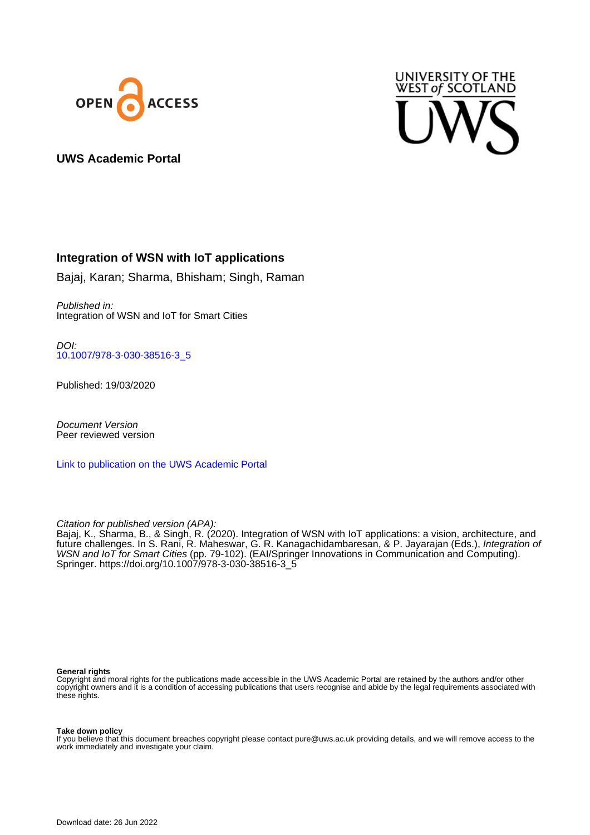



## **UWS Academic Portal**

# **Integration of WSN with IoT applications**

Bajaj, Karan; Sharma, Bhisham; Singh, Raman

Published in: Integration of WSN and IoT for Smart Cities

DOI: [10.1007/978-3-030-38516-3\\_5](https://doi.org/10.1007/978-3-030-38516-3_5)

Published: 19/03/2020

Document Version Peer reviewed version

[Link to publication on the UWS Academic Portal](https://uws.pure.elsevier.com/en/publications/43c07f15-6b80-4de6-9523-d44bae621e58)

Citation for published version (APA):

Bajaj, K., Sharma, B., & Singh, R. (2020). Integration of WSN with IoT applications: a vision, architecture, and future challenges. In S. Rani, R. Maheswar, G. R. Kanagachidambaresan, & P. Jayarajan (Eds.), *Integration of* WSN and IoT for Smart Cities (pp. 79-102). (EAI/Springer Innovations in Communication and Computing). Springer. [https://doi.org/10.1007/978-3-030-38516-3\\_5](https://doi.org/10.1007/978-3-030-38516-3_5)

#### **General rights**

Copyright and moral rights for the publications made accessible in the UWS Academic Portal are retained by the authors and/or other copyright owners and it is a condition of accessing publications that users recognise and abide by the legal requirements associated with these rights.

#### **Take down policy**

If you believe that this document breaches copyright please contact pure@uws.ac.uk providing details, and we will remove access to the work immediately and investigate your claim.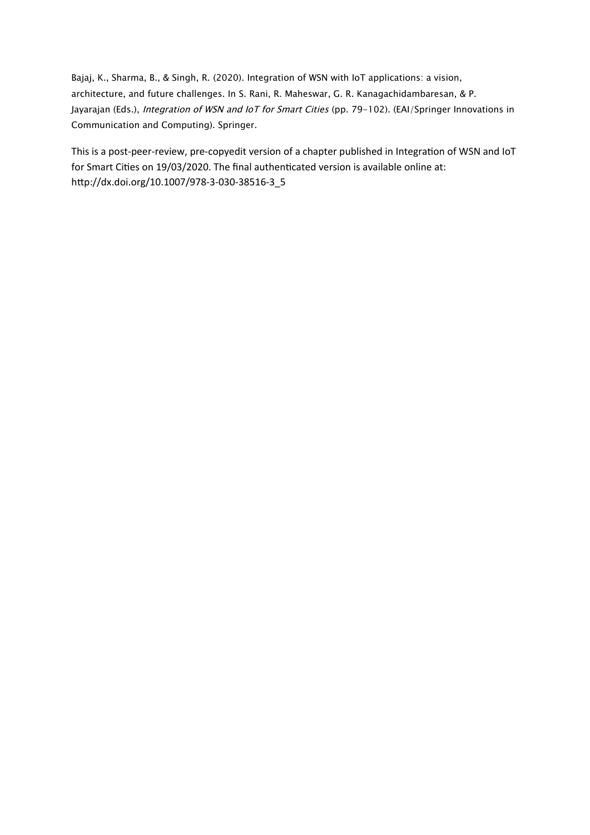Bajaj, K., Sharma, B., & Singh, R. (2020). Integration of WSN with IoT applications: a vision, architecture, and future challenges. In S. Rani, R. Maheswar, G. R. Kanagachidambaresan, & P. Jayarajan (Eds.), Integration of WSN and IoT for Smart Cities (pp. 79-102). (EAI/Springer Innovations in Communication and Computing). Springer.

This is a post-peer-review, pre-copyedit version of a chapter published in Integration of WSN and IoT for Smart Cities on 19/03/2020. The final authenticated version is available online at: http://dx.doi.org/10.1007/978-3-030-38516-3\_5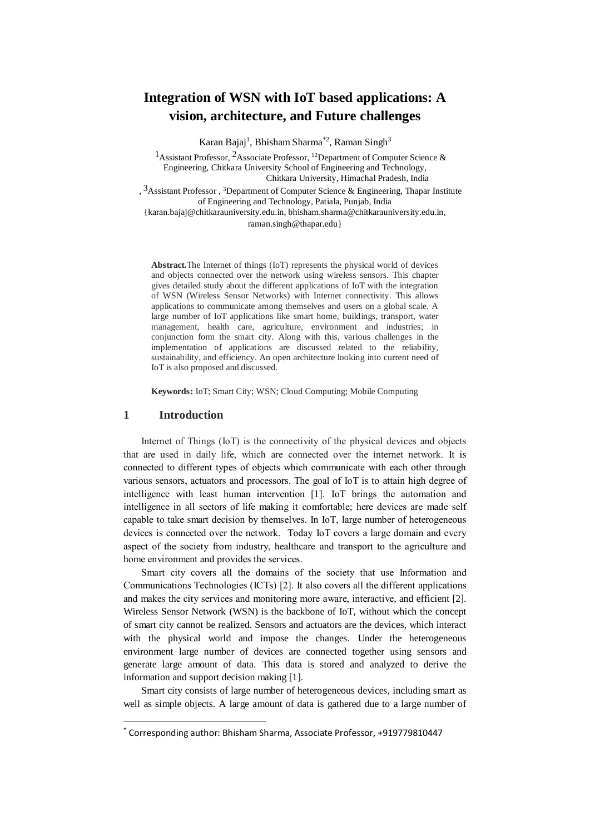# **Integration of WSN with IoT based applications: A vision, architecture, and Future challenges**

Karan Bajaj<sup>1</sup>, Bhisham Sharma<sup>\*2</sup>, Raman Singh<sup>3</sup>

1Assistant Professor, 2Associate Professor, <sup>12</sup>Department of Computer Science & Engineering, Chitkara University School of Engineering and Technology, Chitkara University, Himachal Pradesh, India

,  $3$ Assistant Professor,  $3$ Department of Computer Science & Engineering, Thapar Institute of Engineering and Technology, Patiala, Punjab, India {karan.bajaj@chitkarauniversity.edu.in, bhisham.sharma@chitkarauniversity.edu.in,

raman.singh@thapar.edu}

**Abstract.**The Internet of things (IoT) represents the physical world of devices and objects connected over the network using wireless sensors. This chapter gives detailed study about the different applications of IoT with the integration of WSN (Wireless Sensor Networks) with Internet connectivity. This allows applications to communicate among themselves and users on a global scale. A large number of IoT applications like smart home, buildings, transport, water management, health care, agriculture, environment and industries; in conjunction form the smart city. Along with this, various challenges in the implementation of applications are discussed related to the reliability, sustainability, and efficiency. An open architecture looking into current need of IoT is also proposed and discussed.

**Keywords:** IoT; Smart City; WSN; Cloud Computing; Mobile Computing

## **1 Introduction**

 $\overline{a}$ 

Internet of Things (IoT) is the connectivity of the physical devices and objects that are used in daily life, which are connected over the internet network. It is connected to different types of objects which communicate with each other through various sensors, actuators and processors. The goal of IoT is to attain high degree of intelligence with least human intervention [1]. IoT brings the automation and intelligence in all sectors of life making it comfortable; here devices are made self capable to take smart decision by themselves. In IoT, large number of heterogeneous devices is connected over the network. Today IoT covers a large domain and every aspect of the society from industry, healthcare and transport to the agriculture and home environment and provides the services.

Smart city covers all the domains of the society that use Information and Communications Technologies (ICTs) [2]. It also covers all the different applications and makes the city services and monitoring more aware, interactive, and efficient [2]. Wireless Sensor Network (WSN) is the backbone of IoT, without which the concept of smart city cannot be realized. Sensors and actuators are the devices, which interact with the physical world and impose the changes. Under the heterogeneous environment large number of devices are connected together using sensors and generate large amount of data. This data is stored and analyzed to derive the information and support decision making [1].

Smart city consists of large number of heterogeneous devices, including smart as well as simple objects. A large amount of data is gathered due to a large number of

<sup>\*</sup> Corresponding author: Bhisham Sharma, Associate Professor, +919779810447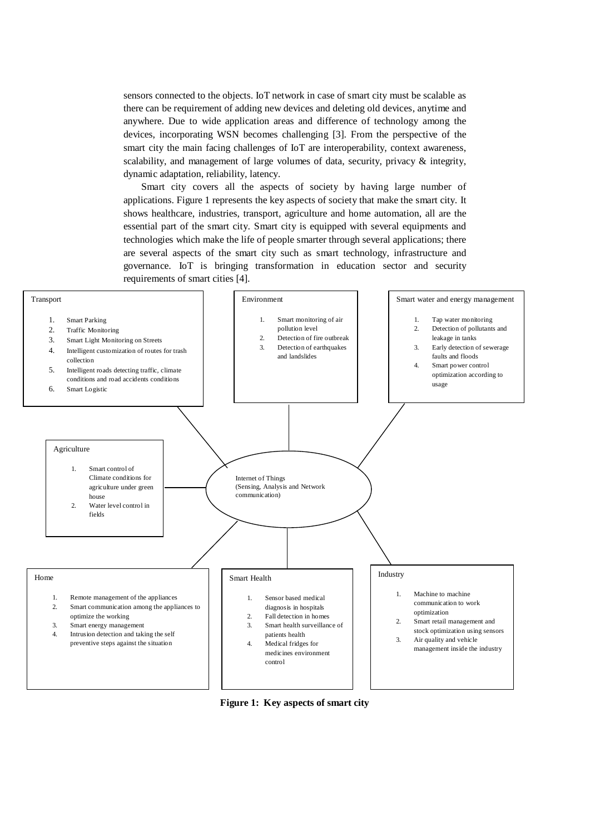sensors connected to the objects. IoT network in case of smart city must be scalable as there can be requirement of adding new devices and deleting old devices, anytime and anywhere. Due to wide application areas and difference of technology among the devices, incorporating WSN becomes challenging [3]. From the perspective of the smart city the main facing challenges of IoT are interoperability, context awareness, scalability, and management of large volumes of data, security, privacy & integrity, dynamic adaptation, reliability, latency.

Smart city covers all the aspects of society by having large number of applications. Figure 1 represents the key aspects of society that make the smart city. It shows healthcare, industries, transport, agriculture and home automation, all are the essential part of the smart city. Smart city is equipped with several equipments and technologies which make the life of people smarter through several applications; there are several aspects of the smart city such as smart technology, infrastructure and governance. IoT is bringing transformation in education sector and security requirements of smart cities [4].



**Figure 1: Key aspects of smart city**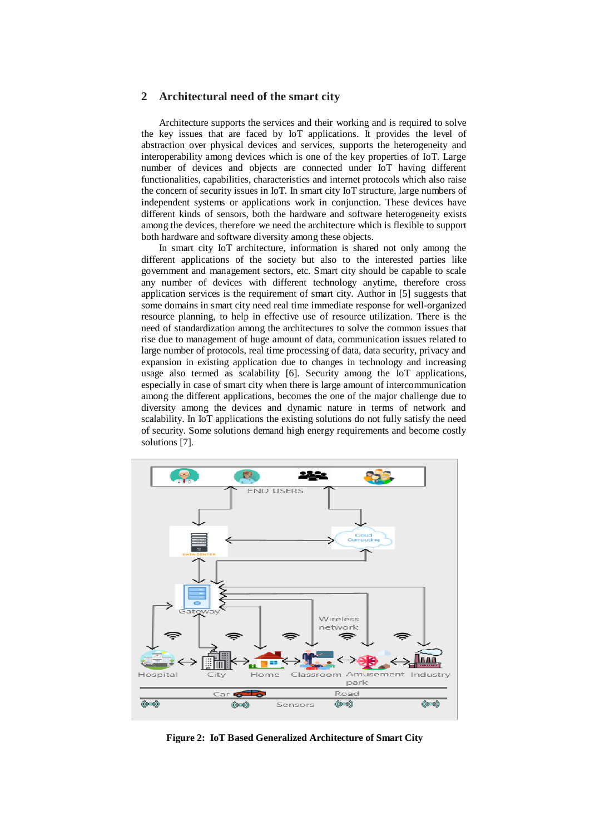## **2 Architectural need of the smart city**

Architecture supports the services and their working and is required to solve the key issues that are faced by IoT applications. It provides the level of abstraction over physical devices and services, supports the heterogeneity and interoperability among devices which is one of the key properties of IoT. Large number of devices and objects are connected under IoT having different functionalities, capabilities, characteristics and internet protocols which also raise the concern of security issues in IoT. In smart city IoT structure, large numbers of independent systems or applications work in conjunction. These devices have different kinds of sensors, both the hardware and software heterogeneity exists among the devices, therefore we need the architecture which is flexible to support both hardware and software diversity among these objects.

In smart city IoT architecture, information is shared not only among the different applications of the society but also to the interested parties like government and management sectors, etc. Smart city should be capable to scale any number of devices with different technology anytime, therefore cross application services is the requirement of smart city. Author in [5] suggests that some domains in smart city need real time immediate response for well-organized resource planning, to help in effective use of resource utilization. There is the need of standardization among the architectures to solve the common issues that rise due to management of huge amount of data, communication issues related to large number of protocols, real time processing of data, data security, privacy and expansion in existing application due to changes in technology and increasing usage also termed as scalability [6]. Security among the IoT applications, especially in case of smart city when there is large amount of intercommunication among the different applications, becomes the one of the major challenge due to diversity among the devices and dynamic nature in terms of network and scalability. In IoT applications the existing solutions do not fully satisfy the need of security. Some solutions demand high energy requirements and become costly solutions [7].



**Figure 2: IoT Based Generalized Architecture of Smart City**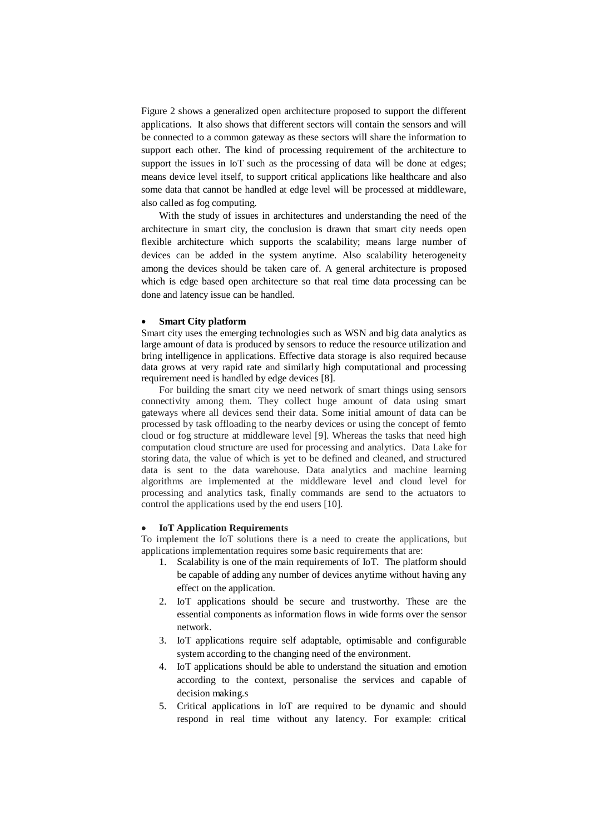Figure 2 shows a generalized open architecture proposed to support the different applications. It also shows that different sectors will contain the sensors and will be connected to a common gateway as these sectors will share the information to support each other. The kind of processing requirement of the architecture to support the issues in IoT such as the processing of data will be done at edges; means device level itself, to support critical applications like healthcare and also some data that cannot be handled at edge level will be processed at middleware, also called as fog computing.

With the study of issues in architectures and understanding the need of the architecture in smart city, the conclusion is drawn that smart city needs open flexible architecture which supports the scalability; means large number of devices can be added in the system anytime. Also scalability heterogeneity among the devices should be taken care of. A general architecture is proposed which is edge based open architecture so that real time data processing can be done and latency issue can be handled.

#### • **Smart City platform**

Smart city uses the emerging technologies such as WSN and big data analytics as large amount of data is produced by sensors to reduce the resource utilization and bring intelligence in applications. Effective data storage is also required because data grows at very rapid rate and similarly high computational and processing requirement need is handled by edge devices [8].

For building the smart city we need network of smart things using sensors connectivity among them. They collect huge amount of data using smart gateways where all devices send their data. Some initial amount of data can be processed by task offloading to the nearby devices or using the concept of femto cloud or fog structure at middleware level [9]. Whereas the tasks that need high computation cloud structure are used for processing and analytics. Data Lake for storing data, the value of which is yet to be defined and cleaned, and structured data is sent to the data warehouse. Data analytics and machine learning algorithms are implemented at the middleware level and cloud level for processing and analytics task, finally commands are send to the actuators to control the applications used by the end users [10].

#### • **IoT Application Requirements**

To implement the IoT solutions there is a need to create the applications, but applications implementation requires some basic requirements that are:

- 1. Scalability is one of the main requirements of IoT. The platform should be capable of adding any number of devices anytime without having any effect on the application.
- 2. IoT applications should be secure and trustworthy. These are the essential components as information flows in wide forms over the sensor network.
- 3. IoT applications require self adaptable, optimisable and configurable system according to the changing need of the environment.
- 4. IoT applications should be able to understand the situation and emotion according to the context, personalise the services and capable of decision making.s
- 5. Critical applications in IoT are required to be dynamic and should respond in real time without any latency. For example: critical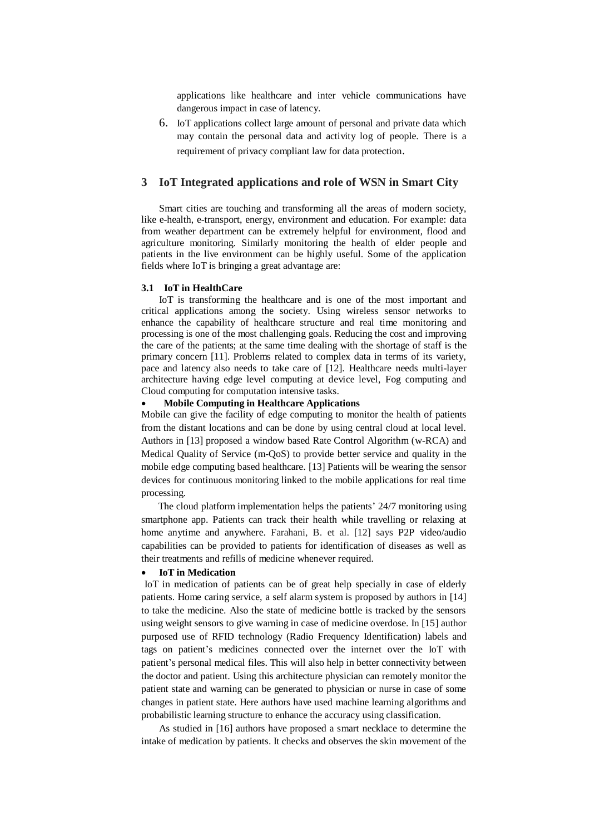applications like healthcare and inter vehicle communications have dangerous impact in case of latency.

6. IoT applications collect large amount of personal and private data which may contain the personal data and activity log of people. There is a requirement of privacy compliant law for data protection.

## **3 IoT Integrated applications and role of WSN in Smart City**

Smart cities are touching and transforming all the areas of modern society, like e-health, e-transport, energy, environment and education. For example: data from weather department can be extremely helpful for environment, flood and agriculture monitoring. Similarly monitoring the health of elder people and patients in the live environment can be highly useful. Some of the application fields where IoT is bringing a great advantage are:

#### **3.1 IoT in HealthCare**

IoT is transforming the healthcare and is one of the most important and critical applications among the society. Using wireless sensor networks to enhance the capability of healthcare structure and real time monitoring and processing is one of the most challenging goals. Reducing the cost and improving the care of the patients; at the same time dealing with the shortage of staff is the primary concern [11]. Problems related to complex data in terms of its variety, pace and latency also needs to take care of [12]. Healthcare needs multi-layer architecture having edge level computing at device level, Fog computing and Cloud computing for computation intensive tasks.

#### • **Mobile Computing in Healthcare Applications**

Mobile can give the facility of edge computing to monitor the health of patients from the distant locations and can be done by using central cloud at local level. Authors in [13] proposed a window based Rate Control Algorithm (w-RCA) and Medical Quality of Service (m-QoS) to provide better service and quality in the mobile edge computing based healthcare. [13] Patients will be wearing the sensor devices for continuous monitoring linked to the mobile applications for real time processing.

The cloud platform implementation helps the patients' 24/7 monitoring using smartphone app. Patients can track their health while travelling or relaxing at home anytime and anywhere. Farahani, B. et al. [12] says P2P video/audio capabilities can be provided to patients for identification of diseases as well as their treatments and refills of medicine whenever required.

#### **IoT** in Medication

IoT in medication of patients can be of great help specially in case of elderly patients. Home caring service, a self alarm system is proposed by authors in [14] to take the medicine. Also the state of medicine bottle is tracked by the sensors using weight sensors to give warning in case of medicine overdose. In [15] author purposed use of RFID technology (Radio Frequency Identification) labels and tags on patient's medicines connected over the internet over the IoT with patient's personal medical files. This will also help in better connectivity between the doctor and patient. Using this architecture physician can remotely monitor the patient state and warning can be generated to physician or nurse in case of some changes in patient state. Here authors have used machine learning algorithms and probabilistic learning structure to enhance the accuracy using classification.

As studied in [16] authors have proposed a smart necklace to determine the intake of medication by patients. It checks and observes the skin movement of the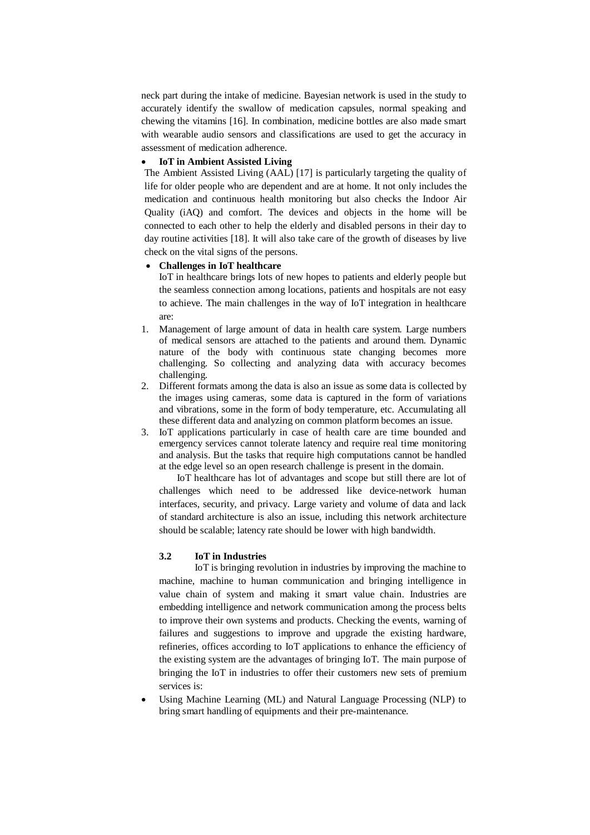neck part during the intake of medicine. Bayesian network is used in the study to accurately identify the swallow of medication capsules, normal speaking and chewing the vitamins [16]. In combination, medicine bottles are also made smart with wearable audio sensors and classifications are used to get the accuracy in assessment of medication adherence.

## • **IoT in Ambient Assisted Living**

The Ambient Assisted Living (AAL) [17] is particularly targeting the quality of life for older people who are dependent and are at home. It not only includes the medication and continuous health monitoring but also checks the Indoor Air Quality (iAQ) and comfort. The devices and objects in the home will be connected to each other to help the elderly and disabled persons in their day to day routine activities [18]. It will also take care of the growth of diseases by live check on the vital signs of the persons.

#### • **Challenges in IoT healthcare**

IoT in healthcare brings lots of new hopes to patients and elderly people but the seamless connection among locations, patients and hospitals are not easy to achieve. The main challenges in the way of IoT integration in healthcare are:

- 1. Management of large amount of data in health care system. Large numbers of medical sensors are attached to the patients and around them. Dynamic nature of the body with continuous state changing becomes more challenging. So collecting and analyzing data with accuracy becomes challenging.
- 2. Different formats among the data is also an issue as some data is collected by the images using cameras, some data is captured in the form of variations and vibrations, some in the form of body temperature, etc. Accumulating all these different data and analyzing on common platform becomes an issue.
- 3. IoT applications particularly in case of health care are time bounded and emergency services cannot tolerate latency and require real time monitoring and analysis. But the tasks that require high computations cannot be handled at the edge level so an open research challenge is present in the domain.

IoT healthcare has lot of advantages and scope but still there are lot of challenges which need to be addressed like device-network human interfaces, security, and privacy. Large variety and volume of data and lack of standard architecture is also an issue, including this network architecture should be scalable; latency rate should be lower with high bandwidth.

#### **3.2 IoT in Industries**

IoT is bringing revolution in industries by improving the machine to machine, machine to human communication and bringing intelligence in value chain of system and making it smart value chain. Industries are embedding intelligence and network communication among the process belts to improve their own systems and products. Checking the events, warning of failures and suggestions to improve and upgrade the existing hardware, refineries, offices according to IoT applications to enhance the efficiency of the existing system are the advantages of bringing IoT. The main purpose of bringing the IoT in industries to offer their customers new sets of premium services is:

• Using Machine Learning (ML) and Natural Language Processing (NLP) to bring smart handling of equipments and their pre-maintenance.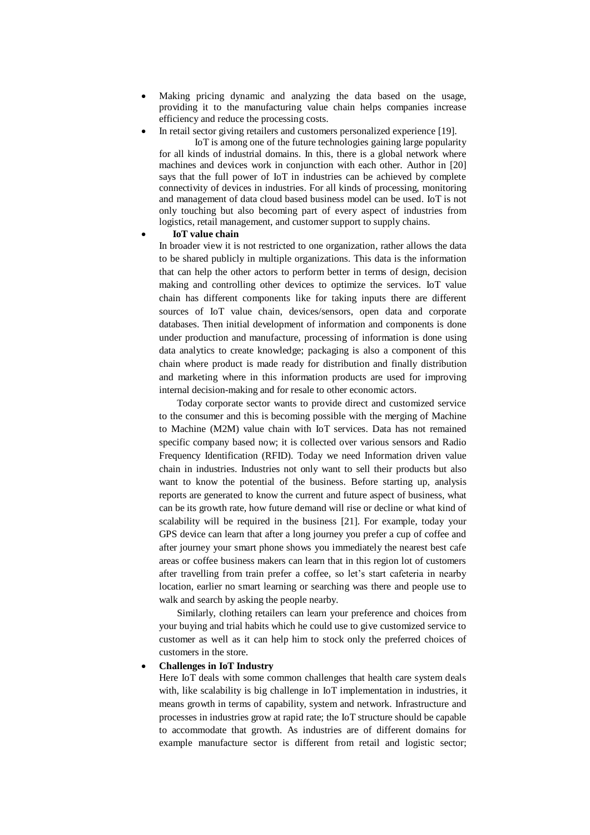- Making pricing dynamic and analyzing the data based on the usage, providing it to the manufacturing value chain helps companies increase efficiency and reduce the processing costs.
- In retail sector giving retailers and customers personalized experience [19].

IoT is among one of the future technologies gaining large popularity for all kinds of industrial domains. In this, there is a global network where machines and devices work in conjunction with each other. Author in [20] says that the full power of IoT in industries can be achieved by complete connectivity of devices in industries. For all kinds of processing, monitoring and management of data cloud based business model can be used. IoT is not only touching but also becoming part of every aspect of industries from logistics, retail management, and customer support to supply chains.

• **IoT value chain** 

In broader view it is not restricted to one organization, rather allows the data to be shared publicly in multiple organizations. This data is the information that can help the other actors to perform better in terms of design, decision making and controlling other devices to optimize the services. IoT value chain has different components like for taking inputs there are different sources of IoT value chain, devices/sensors, open data and corporate databases. Then initial development of information and components is done under production and manufacture, processing of information is done using data analytics to create knowledge; packaging is also a component of this chain where product is made ready for distribution and finally distribution and marketing where in this information products are used for improving internal decision-making and for resale to other economic actors.

Today corporate sector wants to provide direct and customized service to the consumer and this is becoming possible with the merging of Machine to Machine (M2M) value chain with IoT services. Data has not remained specific company based now; it is collected over various sensors and Radio Frequency Identification (RFID). Today we need Information driven value chain in industries. Industries not only want to sell their products but also want to know the potential of the business. Before starting up, analysis reports are generated to know the current and future aspect of business, what can be its growth rate, how future demand will rise or decline or what kind of scalability will be required in the business [21]. For example, today your GPS device can learn that after a long journey you prefer a cup of coffee and after journey your smart phone shows you immediately the nearest best cafe areas or coffee business makers can learn that in this region lot of customers after travelling from train prefer a coffee, so let's start cafeteria in nearby location, earlier no smart learning or searching was there and people use to walk and search by asking the people nearby.

Similarly, clothing retailers can learn your preference and choices from your buying and trial habits which he could use to give customized service to customer as well as it can help him to stock only the preferred choices of customers in the store.

## • **Challenges in IoT Industry**

Here IoT deals with some common challenges that health care system deals with, like scalability is big challenge in IoT implementation in industries, it means growth in terms of capability, system and network. Infrastructure and processes in industries grow at rapid rate; the IoT structure should be capable to accommodate that growth. As industries are of different domains for example manufacture sector is different from retail and logistic sector;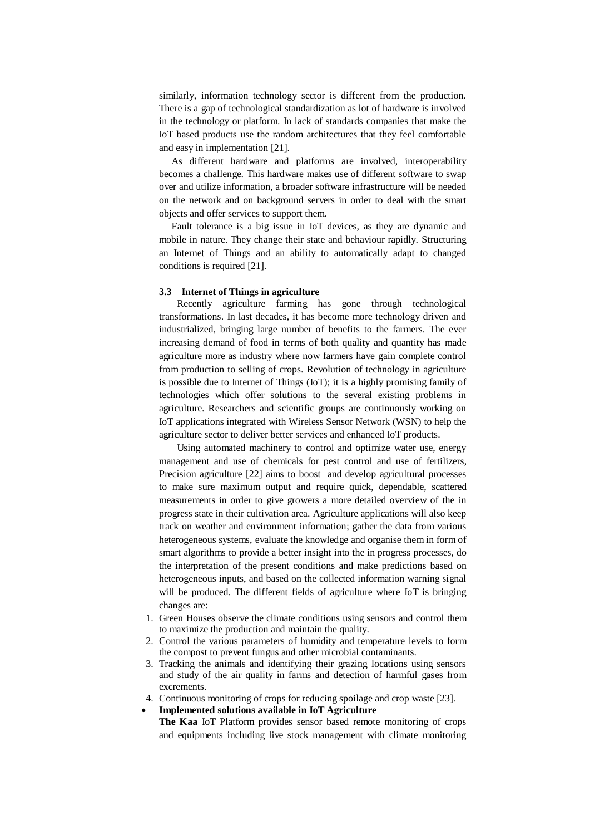similarly, information technology sector is different from the production. There is a gap of technological standardization as lot of hardware is involved in the technology or platform. In lack of standards companies that make the IoT based products use the random architectures that they feel comfortable and easy in implementation [21].

 As different hardware and platforms are involved, interoperability becomes a challenge. This hardware makes use of different software to swap over and utilize information, a broader software infrastructure will be needed on the network and on background servers in order to deal with the smart objects and offer services to support them.

 Fault tolerance is a big issue in IoT devices, as they are dynamic and mobile in nature. They change their state and behaviour rapidly. Structuring an Internet of Things and an ability to automatically adapt to changed conditions is required [21].

#### **3.3 Internet of Things in agriculture**

Recently agriculture farming has gone through technological transformations. In last decades, it has become more technology driven and industrialized, bringing large number of benefits to the farmers. The ever increasing demand of food in terms of both quality and quantity has made agriculture more as industry where now farmers have gain complete control from production to selling of crops. Revolution of technology in agriculture is possible due to Internet of Things (IoT); it is a highly promising family of technologies which offer solutions to the several existing problems in agriculture. Researchers and scientific groups are continuously working on IoT applications integrated with Wireless Sensor Network (WSN) to help the agriculture sector to deliver better services and enhanced IoT products.

Using automated machinery to control and optimize water use, energy management and use of chemicals for pest control and use of fertilizers, Precision agriculture [22] aims to boost and develop agricultural processes to make sure maximum output and require quick, dependable, scattered measurements in order to give growers a more detailed overview of the in progress state in their cultivation area. Agriculture applications will also keep track on weather and environment information; gather the data from various heterogeneous systems, evaluate the knowledge and organise them in form of smart algorithms to provide a better insight into the in progress processes, do the interpretation of the present conditions and make predictions based on heterogeneous inputs, and based on the collected information warning signal will be produced. The different fields of agriculture where IoT is bringing changes are:

- 1. Green Houses observe the climate conditions using sensors and control them to maximize the production and maintain the quality.
- 2. Control the various parameters of humidity and temperature levels to form the compost to prevent fungus and other microbial contaminants.
- 3. Tracking the animals and identifying their grazing locations using sensors and study of the air quality in farms and detection of harmful gases from excrements.

4. Continuous monitoring of crops for reducing spoilage and crop waste [23].

• **Implemented solutions available in IoT Agriculture The Kaa** IoT Platform provides sensor based remote monitoring of crops and equipments including live stock management with climate monitoring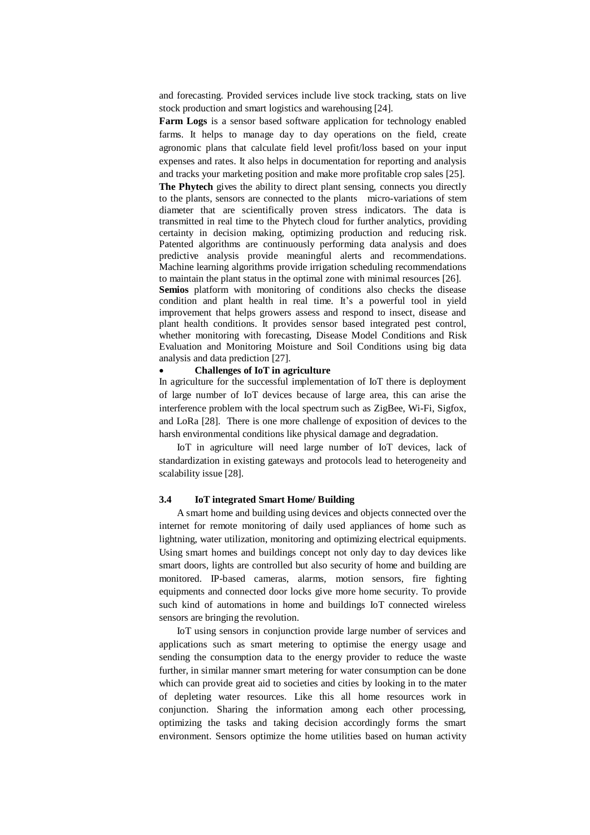and forecasting. Provided services include live stock tracking, stats on live stock production and smart logistics and warehousing [24].

**Farm Logs** is a sensor based software application for technology enabled farms. It helps to manage day to day operations on the field, create agronomic plans that calculate field level profit/loss based on your input expenses and rates. It also helps in documentation for reporting and analysis and tracks your marketing position and make more profitable crop sales [25].

**The Phytech** gives the ability to direct plant sensing, connects you directly to the plants, sensors are connected to the plants micro-variations of stem diameter that are scientifically proven stress indicators. The data is transmitted in real time to the Phytech cloud for further analytics, providing certainty in decision making, optimizing production and reducing risk. Patented algorithms are continuously performing data analysis and does predictive analysis provide meaningful alerts and recommendations. Machine learning algorithms provide irrigation scheduling recommendations to maintain the plant status in the optimal zone with minimal resources [26].

**Semios** platform with monitoring of conditions also checks the disease condition and plant health in real time. It's a powerful tool in yield improvement that helps growers assess and respond to insect, disease and plant health conditions. It provides sensor based integrated pest control, whether monitoring with forecasting, Disease Model Conditions and Risk Evaluation and Monitoring Moisture and Soil Conditions using big data analysis and data prediction [27].

#### • **Challenges of IoT in agriculture**

In agriculture for the successful implementation of IoT there is deployment of large number of IoT devices because of large area, this can arise the interference problem with the local spectrum such as ZigBee, Wi-Fi, Sigfox, and LoRa [28]. There is one more challenge of exposition of devices to the harsh environmental conditions like physical damage and degradation.

IoT in agriculture will need large number of IoT devices, lack of standardization in existing gateways and protocols lead to heterogeneity and scalability issue [28].

## **3.4 IoT integrated Smart Home/ Building**

A smart home and building using devices and objects connected over the internet for remote monitoring of daily used appliances of home such as lightning, water utilization, monitoring and optimizing electrical equipments. Using smart homes and buildings concept not only day to day devices like smart doors, lights are controlled but also security of home and building are monitored. IP-based cameras, alarms, motion sensors, fire fighting equipments and connected door locks give more home security. To provide such kind of automations in home and buildings IoT connected wireless sensors are bringing the revolution.

IoT using sensors in conjunction provide large number of services and applications such as smart metering to optimise the energy usage and sending the consumption data to the energy provider to reduce the waste further, in similar manner smart metering for water consumption can be done which can provide great aid to societies and cities by looking in to the mater of depleting water resources. Like this all home resources work in conjunction. Sharing the information among each other processing, optimizing the tasks and taking decision accordingly forms the smart environment. Sensors optimize the home utilities based on human activity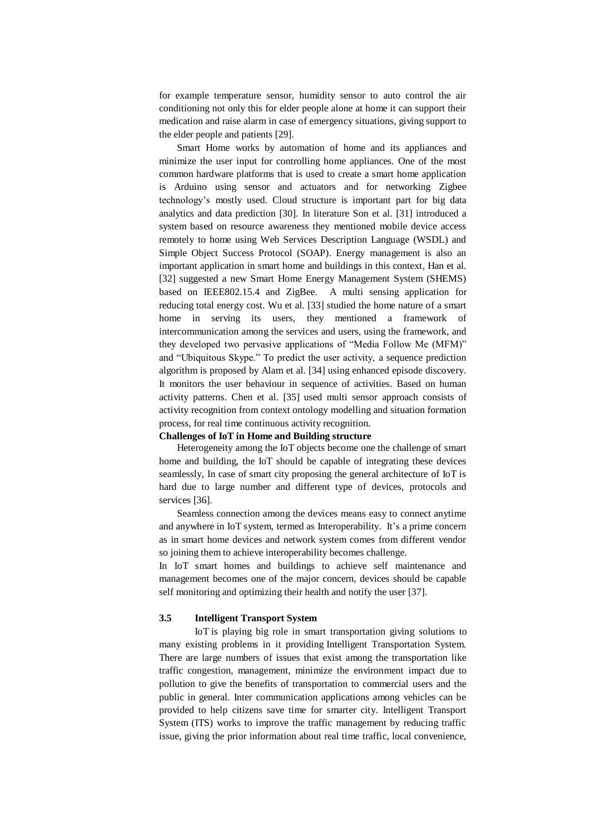for example temperature sensor, humidity sensor to auto control the air conditioning not only this for elder people alone at home it can support their medication and raise alarm in case of emergency situations, giving support to the elder people and patients [29].

Smart Home works by automation of home and its appliances and minimize the user input for controlling home appliances. One of the most common hardware platforms that is used to create a smart home application is Arduino using sensor and actuators and for networking Zigbee technology's mostly used. Cloud structure is important part for big data analytics and data prediction [30]. In literature Son et al. [31] introduced a system based on resource awareness they mentioned mobile device access remotely to home using Web Services Description Language (WSDL) and Simple Object Success Protocol (SOAP). Energy management is also an important application in smart home and buildings in this context, Han et al. [32] suggested a new Smart Home Energy Management System (SHEMS) based on IEEE802.15.4 and ZigBee. A multi sensing application for reducing total energy cost. Wu et al. [33] studied the home nature of a smart home in serving its users, they mentioned a framework of intercommunication among the services and users, using the framework, and they developed two pervasive applications of "Media Follow Me (MFM)" and "Ubiquitous Skype." To predict the user activity, a sequence prediction algorithm is proposed by Alam et al. [34] using enhanced episode discovery. It monitors the user behaviour in sequence of activities. Based on human activity patterns. Chen et al. [35] used multi sensor approach consists of activity recognition from context ontology modelling and situation formation process, for real time continuous activity recognition.

#### **Challenges of IoT in Home and Building structure**

Heterogeneity among the IoT objects become one the challenge of smart home and building, the IoT should be capable of integrating these devices seamlessly, In case of smart city proposing the general architecture of IoT is hard due to large number and different type of devices, protocols and services [36].

Seamless connection among the devices means easy to connect anytime and anywhere in IoT system, termed as Interoperability. It's a prime concern as in smart home devices and network system comes from different vendor so joining them to achieve interoperability becomes challenge.

In IoT smart homes and buildings to achieve self maintenance and management becomes one of the major concern, devices should be capable self monitoring and optimizing their health and notify the user [37].

## **3.5 Intelligent Transport System**

IoT is playing big role in smart transportation giving solutions to many existing problems in it providing Intelligent Transportation System. There are large numbers of issues that exist among the transportation like traffic congestion, management, minimize the environment impact due to pollution to give the benefits of transportation to commercial users and the public in general. Inter communication applications among vehicles can be provided to help citizens save time for smarter city. Intelligent Transport System (ITS) works to improve the traffic management by reducing traffic issue, giving the prior information about real time traffic, local convenience,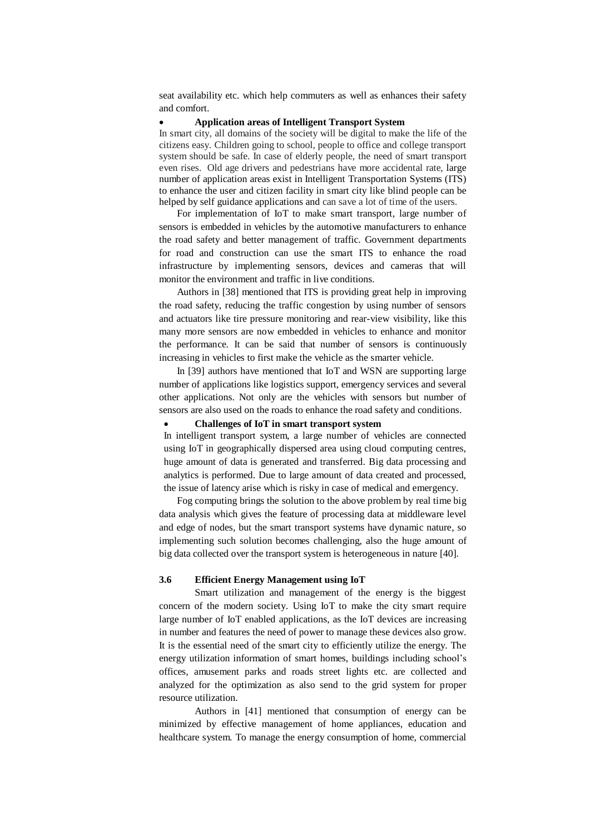seat availability etc. which help commuters as well as enhances their safety and comfort.

#### • **Application areas of Intelligent Transport System**

In smart city, all domains of the society will be digital to make the life of the citizens easy. Children going to school, people to office and college transport system should be safe. In case of elderly people, the need of smart transport even rises. Old age drivers and pedestrians have more accidental rate, large number of application areas exist in Intelligent Transportation Systems (ITS) to enhance the user and citizen facility in smart city like blind people can be helped by self guidance applications and can save a lot of time of the users.

For implementation of IoT to make smart transport, large number of sensors is embedded in vehicles by the automotive manufacturers to enhance the road safety and better management of traffic. Government departments for road and construction can use the smart ITS to enhance the road infrastructure by implementing sensors, devices and cameras that will monitor the environment and traffic in live conditions.

Authors in [38] mentioned that ITS is providing great help in improving the road safety, reducing the traffic congestion by using number of sensors and actuators like tire pressure monitoring and rear-view visibility, like this many more sensors are now embedded in vehicles to enhance and monitor the performance. It can be said that number of sensors is continuously increasing in vehicles to first make the vehicle as the smarter vehicle.

In [39] authors have mentioned that IoT and WSN are supporting large number of applications like logistics support, emergency services and several other applications. Not only are the vehicles with sensors but number of sensors are also used on the roads to enhance the road safety and conditions.

## • **Challenges of IoT in smart transport system**

In intelligent transport system, a large number of vehicles are connected using IoT in geographically dispersed area using cloud computing centres, huge amount of data is generated and transferred. Big data processing and analytics is performed. Due to large amount of data created and processed, the issue of latency arise which is risky in case of medical and emergency.

Fog computing brings the solution to the above problem by real time big data analysis which gives the feature of processing data at middleware level and edge of nodes, but the smart transport systems have dynamic nature, so implementing such solution becomes challenging, also the huge amount of big data collected over the transport system is heterogeneous in nature [40].

## **3.6 Efficient Energy Management using IoT**

Smart utilization and management of the energy is the biggest concern of the modern society. Using IoT to make the city smart require large number of IoT enabled applications, as the IoT devices are increasing in number and features the need of power to manage these devices also grow. It is the essential need of the smart city to efficiently utilize the energy. The energy utilization information of smart homes, buildings including school's offices, amusement parks and roads street lights etc. are collected and analyzed for the optimization as also send to the grid system for proper resource utilization.

Authors in [41] mentioned that consumption of energy can be minimized by effective management of home appliances, education and healthcare system. To manage the energy consumption of home, commercial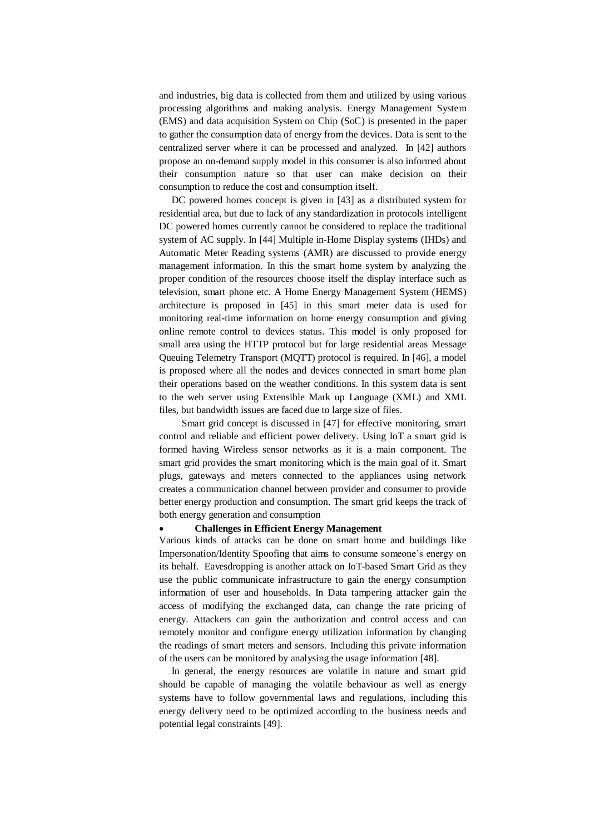and industries, big data is collected from them and utilized by using various processing algorithms and making analysis. Energy Management System (EMS) and data acquisition System on Chip (SoC) is presented in the paper to gather the consumption data of energy from the devices. Data is sent to the centralized server where it can be processed and analyzed. In [42] authors propose an on-demand supply model in this consumer is also informed about their consumption nature so that user can make decision on their consumption to reduce the cost and consumption itself.

 DC powered homes concept is given in [43] as a distributed system for residential area, but due to lack of any standardization in protocols intelligent DC powered homes currently cannot be considered to replace the traditional system of AC supply. In [44] Multiple in-Home Display systems (IHDs) and Automatic Meter Reading systems (AMR) are discussed to provide energy management information. In this the smart home system by analyzing the proper condition of the resources choose itself the display interface such as television, smart phone etc. A Home Energy Management System (HEMS) architecture is proposed in [45] in this smart meter data is used for monitoring real-time information on home energy consumption and giving online remote control to devices status. This model is only proposed for small area using the HTTP protocol but for large residential areas Message Queuing Telemetry Transport (MQTT) protocol is required. In [46], a model is proposed where all the nodes and devices connected in smart home plan their operations based on the weather conditions. In this system data is sent to the web server using Extensible Mark up Language (XML) and XML files, but bandwidth issues are faced due to large size of files.

Smart grid concept is discussed in [47] for effective monitoring, smart control and reliable and efficient power delivery. Using IoT a smart grid is formed having Wireless sensor networks as it is a main component. The smart grid provides the smart monitoring which is the main goal of it. Smart plugs, gateways and meters connected to the appliances using network creates a communication channel between provider and consumer to provide better energy production and consumption. The smart grid keeps the track of both energy generation and consumption

#### • **Challenges in Efficient Energy Management**

Various kinds of attacks can be done on smart home and buildings like Impersonation/Identity Spoofing that aims to consume someone's energy on its behalf. Eavesdropping is another attack on IoT-based Smart Grid as they use the public communicate infrastructure to gain the energy consumption information of user and households. In Data tampering attacker gain the access of modifying the exchanged data, can change the rate pricing of energy. Attackers can gain the authorization and control access and can remotely monitor and configure energy utilization information by changing the readings of smart meters and sensors. Including this private information of the users can be monitored by analysing the usage information [48].

 In general, the energy resources are volatile in nature and smart grid should be capable of managing the volatile behaviour as well as energy systems have to follow governmental laws and regulations, including this energy delivery need to be optimized according to the business needs and potential legal constraints [49].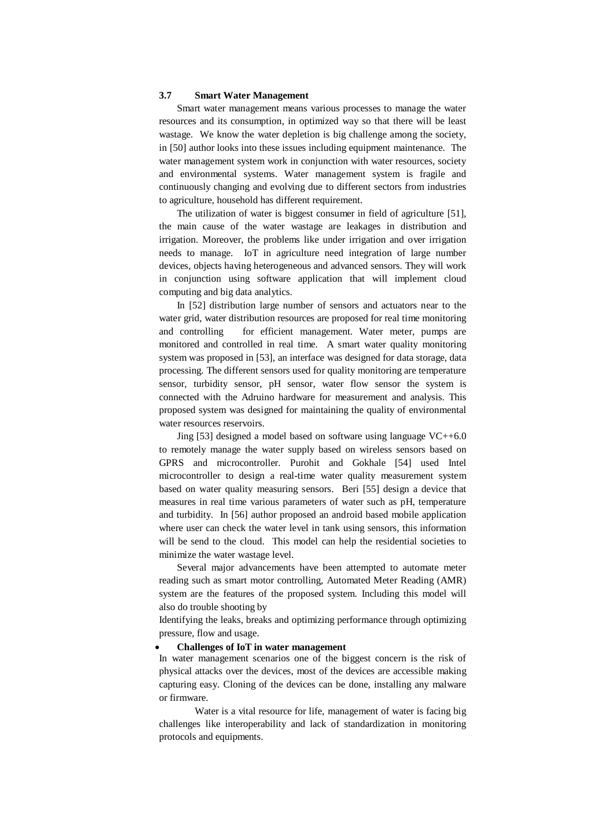## **3.7 Smart Water Management**

Smart water management means various processes to manage the water resources and its consumption, in optimized way so that there will be least wastage. We know the water depletion is big challenge among the society, in [50] author looks into these issues including equipment maintenance. The water management system work in conjunction with water resources, society and environmental systems. Water management system is fragile and continuously changing and evolving due to different sectors from industries to agriculture, household has different requirement.

The utilization of water is biggest consumer in field of agriculture [51], the main cause of the water wastage are leakages in distribution and irrigation. Moreover, the problems like under irrigation and over irrigation needs to manage. IoT in agriculture need integration of large number devices, objects having heterogeneous and advanced sensors. They will work in conjunction using software application that will implement cloud computing and big data analytics.

In [52] distribution large number of sensors and actuators near to the water grid, water distribution resources are proposed for real time monitoring and controlling for efficient management. Water meter, pumps are monitored and controlled in real time. A smart water quality monitoring system was proposed in [53], an interface was designed for data storage, data processing. The different sensors used for quality monitoring are temperature sensor, turbidity sensor, pH sensor, water flow sensor the system is connected with the Adruino hardware for measurement and analysis. This proposed system was designed for maintaining the quality of environmental water resources reservoirs.

Jing [53] designed a model based on software using language  $VC++6.0$ to remotely manage the water supply based on wireless sensors based on GPRS and microcontroller. Purohit and Gokhale [54] used Intel microcontroller to design a real-time water quality measurement system based on water quality measuring sensors. Beri [55] design a device that measures in real time various parameters of water such as pH, temperature and turbidity. In [56] author proposed an android based mobile application where user can check the water level in tank using sensors, this information will be send to the cloud. This model can help the residential societies to minimize the water wastage level.

Several major advancements have been attempted to automate meter reading such as smart motor controlling, Automated Meter Reading (AMR) system are the features of the proposed system. Including this model will also do trouble shooting by

Identifying the leaks, breaks and optimizing performance through optimizing pressure, flow and usage.

#### • **Challenges of IoT in water management**

In water management scenarios one of the biggest concern is the risk of physical attacks over the devices, most of the devices are accessible making capturing easy. Cloning of the devices can be done, installing any malware or firmware.

Water is a vital resource for life, management of water is facing big challenges like interoperability and lack of standardization in monitoring protocols and equipments.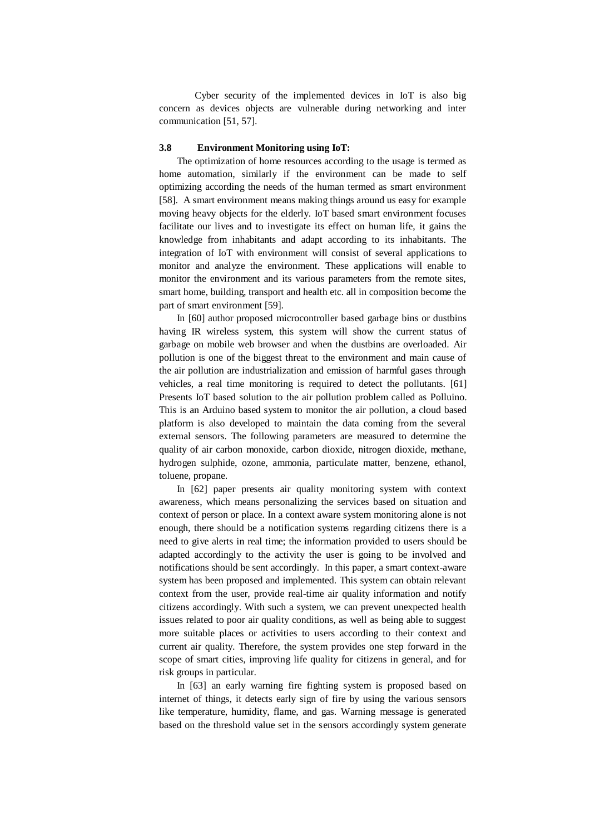Cyber security of the implemented devices in IoT is also big concern as devices objects are vulnerable during networking and inter communication [51, 57].

## **3.8 Environment Monitoring using IoT:**

The optimization of home resources according to the usage is termed as home automation, similarly if the environment can be made to self optimizing according the needs of the human termed as smart environment [58]. A smart environment means making things around us easy for example moving heavy objects for the elderly. IoT based smart environment focuses facilitate our lives and to investigate its effect on human life, it gains the knowledge from inhabitants and adapt according to its inhabitants. The integration of IoT with environment will consist of several applications to monitor and analyze the environment. These applications will enable to monitor the environment and its various parameters from the remote sites, smart home, building, transport and health etc. all in composition become the part of smart environment [59].

In [60] author proposed microcontroller based garbage bins or dustbins having IR wireless system, this system will show the current status of garbage on mobile web browser and when the dustbins are overloaded. Air pollution is one of the biggest threat to the environment and main cause of the air pollution are industrialization and emission of harmful gases through vehicles, a real time monitoring is required to detect the pollutants. [61] Presents IoT based solution to the air pollution problem called as Polluino. This is an Arduino based system to monitor the air pollution, a cloud based platform is also developed to maintain the data coming from the several external sensors. The following parameters are measured to determine the quality of air carbon monoxide, carbon dioxide, nitrogen dioxide, methane, hydrogen sulphide, ozone, ammonia, particulate matter, benzene, ethanol, toluene, propane.

In [62] paper presents air quality monitoring system with context awareness, which means personalizing the services based on situation and context of person or place. In a context aware system monitoring alone is not enough, there should be a notification systems regarding citizens there is a need to give alerts in real time; the information provided to users should be adapted accordingly to the activity the user is going to be involved and notifications should be sent accordingly. In this paper, a smart context-aware system has been proposed and implemented. This system can obtain relevant context from the user, provide real-time air quality information and notify citizens accordingly. With such a system, we can prevent unexpected health issues related to poor air quality conditions, as well as being able to suggest more suitable places or activities to users according to their context and current air quality. Therefore, the system provides one step forward in the scope of smart cities, improving life quality for citizens in general, and for risk groups in particular.

In [63] an early warning fire fighting system is proposed based on internet of things, it detects early sign of fire by using the various sensors like temperature, humidity, flame, and gas. Warning message is generated based on the threshold value set in the sensors accordingly system generate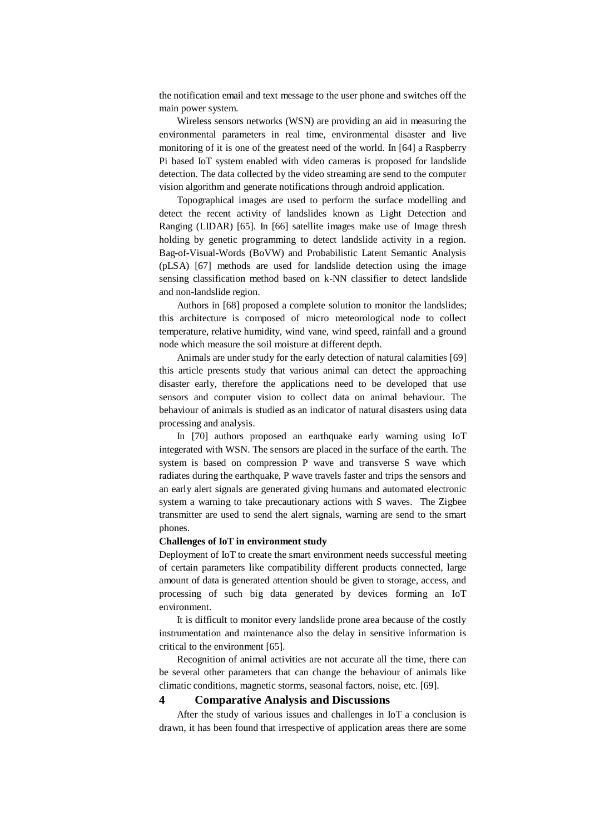the notification email and text message to the user phone and switches off the main power system.

Wireless sensors networks (WSN) are providing an aid in measuring the environmental parameters in real time, environmental disaster and live monitoring of it is one of the greatest need of the world. In [64] a Raspberry Pi based IoT system enabled with video cameras is proposed for landslide detection. The data collected by the video streaming are send to the computer vision algorithm and generate notifications through android application.

Topographical images are used to perform the surface modelling and detect the recent activity of landslides known as Light Detection and Ranging (LIDAR) [65]. In [66] satellite images make use of Image thresh holding by genetic programming to detect landslide activity in a region. Bag-of-Visual-Words (BoVW) and Probabilistic Latent Semantic Analysis (pLSA) [67] methods are used for landslide detection using the image sensing classification method based on k-NN classifier to detect landslide and non-landslide region.

Authors in [68] proposed a complete solution to monitor the landslides; this architecture is composed of micro meteorological node to collect temperature, relative humidity, wind vane, wind speed, rainfall and a ground node which measure the soil moisture at different depth.

Animals are under study for the early detection of natural calamities [69] this article presents study that various animal can detect the approaching disaster early, therefore the applications need to be developed that use sensors and computer vision to collect data on animal behaviour. The behaviour of animals is studied as an indicator of natural disasters using data processing and analysis.

In [70] authors proposed an earthquake early warning using IoT integerated with WSN. The sensors are placed in the surface of the earth. The system is based on compression P wave and transverse S wave which radiates during the earthquake, P wave travels faster and trips the sensors and an early alert signals are generated giving humans and automated electronic system a warning to take precautionary actions with S waves. The Zigbee transmitter are used to send the alert signals, warning are send to the smart phones.

#### **Challenges of IoT in environment study**

Deployment of IoT to create the smart environment needs successful meeting of certain parameters like compatibility different products connected, large amount of data is generated attention should be given to storage, access, and processing of such big data generated by devices forming an IoT environment.

It is difficult to monitor every landslide prone area because of the costly instrumentation and maintenance also the delay in sensitive information is critical to the environment [65].

Recognition of animal activities are not accurate all the time, there can be several other parameters that can change the behaviour of animals like climatic conditions, magnetic storms, seasonal factors, noise, etc. [69].

## **4 Comparative Analysis and Discussions**

After the study of various issues and challenges in IoT a conclusion is drawn, it has been found that irrespective of application areas there are some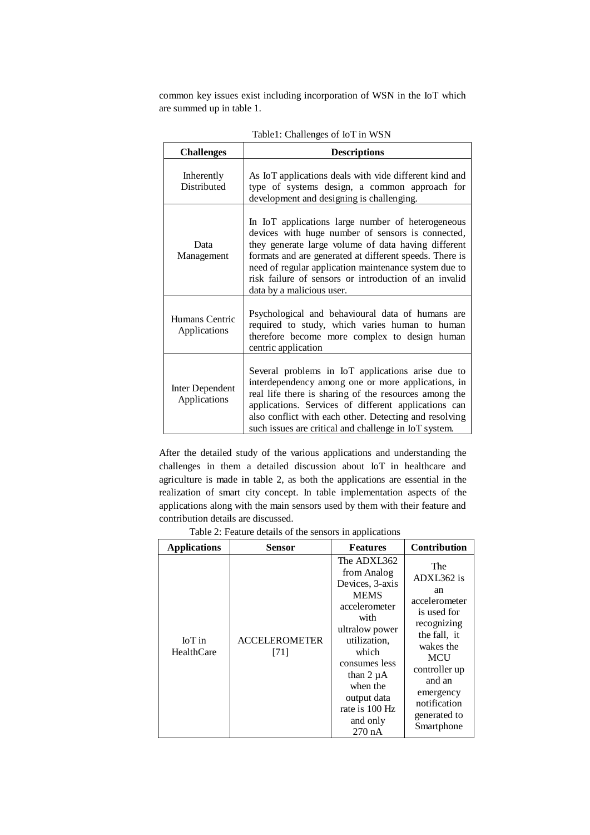common key issues exist including incorporation of WSN in the IoT which are summed up in table 1.

| <b>Challenges</b>               | <b>Descriptions</b>                                                                                                                                                                                                                                                                                                                                                                                                                                                                                                             |  |  |
|---------------------------------|---------------------------------------------------------------------------------------------------------------------------------------------------------------------------------------------------------------------------------------------------------------------------------------------------------------------------------------------------------------------------------------------------------------------------------------------------------------------------------------------------------------------------------|--|--|
| Inherently<br>Distributed       | As IoT applications deals with vide different kind and<br>type of systems design, a common approach for<br>development and designing is challenging.<br>In IoT applications large number of heterogeneous<br>devices with huge number of sensors is connected,<br>they generate large volume of data having different<br>formats and are generated at different speeds. There is<br>need of regular application maintenance system due to<br>risk failure of sensors or introduction of an invalid<br>data by a malicious user. |  |  |
| Data<br>Management              |                                                                                                                                                                                                                                                                                                                                                                                                                                                                                                                                 |  |  |
| Humans Centric<br>Applications  | Psychological and behavioural data of humans are<br>required to study, which varies human to human<br>therefore become more complex to design human<br>centric application                                                                                                                                                                                                                                                                                                                                                      |  |  |
| Inter Dependent<br>Applications | Several problems in IoT applications arise due to<br>interdependency among one or more applications, in<br>real life there is sharing of the resources among the<br>applications. Services of different applications can<br>also conflict with each other. Detecting and resolving<br>such issues are critical and challenge in IoT system.                                                                                                                                                                                     |  |  |

Table1: Challenges of IoT in WSN

After the detailed study of the various applications and understanding the challenges in them a detailed discussion about IoT in healthcare and agriculture is made in table 2, as both the applications are essential in the realization of smart city concept. In table implementation aspects of the applications along with the main sensors used by them with their feature and contribution details are discussed.

Table 2: Feature details of the sensors in applications

| <b>Applications</b>           | <b>Sensor</b>                | <b>Features</b>                                                                                                                                                                                                                                  | <b>Contribution</b>                                                                                                                                                                                            |
|-------------------------------|------------------------------|--------------------------------------------------------------------------------------------------------------------------------------------------------------------------------------------------------------------------------------------------|----------------------------------------------------------------------------------------------------------------------------------------------------------------------------------------------------------------|
| $I0T$ in<br><b>HealthCare</b> | <b>ACCELEROMETER</b><br>[71] | The ADXL362<br>from Analog<br>Devices, 3-axis<br><b>MEMS</b><br>accelerometer<br>with<br>ultralow power<br>utilization,<br>which<br>consumes less<br>than $2 \mu A$<br>when the<br>output data<br>rate is 100 Hz<br>and only<br>$270 \text{ nA}$ | <b>The</b><br>ADXL362 is<br>an<br>accelerometer<br>is used for<br>recognizing<br>the fall, it<br>wakes the<br><b>MCU</b><br>controller up<br>and an<br>emergency<br>notification<br>generated to<br>Smartphone |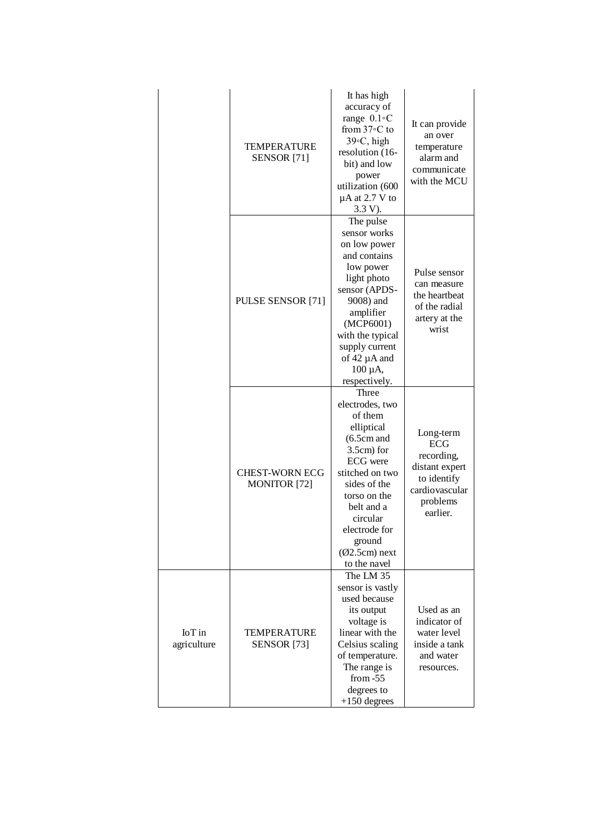|                         | <b>TEMPERATURE</b><br><b>SENSOR</b> [71]     | It has high<br>accuracy of<br>range $0.1 \circ C$<br>from $37 \circ C$ to<br>39°C, high<br>resolution (16-<br>bit) and low<br>power<br>utilization (600<br>$\mu$ A at 2.7 V to<br>$3.3 V$ ).                                                   | It can provide<br>an over<br>temperature<br>alarm and<br>communicate<br>with the MCU                      |
|-------------------------|----------------------------------------------|------------------------------------------------------------------------------------------------------------------------------------------------------------------------------------------------------------------------------------------------|-----------------------------------------------------------------------------------------------------------|
|                         | <b>PULSE SENSOR</b> [71]                     | The pulse<br>sensor works<br>on low power<br>and contains<br>low power<br>light photo<br>sensor (APDS-<br>9008) and<br>amplifier<br>(MCP6001)<br>with the typical<br>supply current<br>of 42 µA and<br>$100 \mu A$ ,<br>respectively.          | Pulse sensor<br>can measure<br>the heartbeat<br>of the radial<br>artery at the<br>wrist                   |
|                         | <b>CHEST-WORN ECG</b><br><b>MONITOR</b> [72] | Three<br>electrodes, two<br>of them<br>elliptical<br>$(6.5cm)$ and<br>3.5cm) for<br><b>ECG</b> were<br>stitched on two<br>sides of the<br>torso on the<br>belt and a<br>circular<br>electrode for<br>ground<br>$(Ø2.5cm)$ next<br>to the navel | Long-term<br>ECG<br>recording,<br>distant expert<br>to identify<br>cardiovascular<br>problems<br>earlier. |
| $IoT$ in<br>agriculture | <b>TEMPERATURE</b><br><b>SENSOR</b> [73]     | The LM 35<br>sensor is vastly<br>used because<br>its output<br>voltage is<br>linear with the<br>Celsius scaling<br>of temperature.<br>The range is<br>from $-55$<br>degrees to<br>$+150$ degrees                                               | Used as an<br>indicator of<br>water level<br>inside a tank<br>and water<br>resources.                     |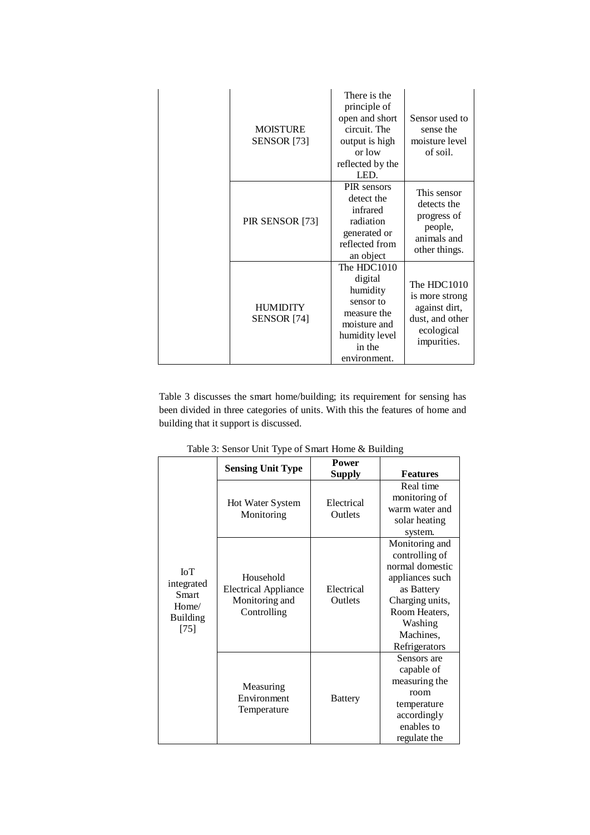| <b>MOISTURE</b><br><b>SENSOR</b> [73] | There is the<br>principle of<br>open and short<br>circuit. The<br>output is high<br>or low<br>reflected by the<br>LED.     | Sensor used to<br>sense the<br>moisture level<br>of soil.                                      |
|---------------------------------------|----------------------------------------------------------------------------------------------------------------------------|------------------------------------------------------------------------------------------------|
| PIR SENSOR [73]                       | PIR sensors<br>detect the<br>infrared<br>radiation<br>generated or<br>reflected from<br>an object                          | This sensor<br>detects the<br>progress of<br>people,<br>animals and<br>other things.           |
| <b>HUMIDITY</b><br>SENSOR [74]        | The HDC1010<br>digital<br>humidity<br>sensor to<br>measure the<br>moisture and<br>humidity level<br>in the<br>environment. | The HDC1010<br>is more strong<br>against dirt,<br>dust, and other<br>ecological<br>impurities. |

Table 3 discusses the smart home/building; its requirement for sensing has been divided in three categories of units. With this the features of home and building that it support is discussed.

|                                                                         | <b>Sensing Unit Type</b>                                                  | Power<br><b>Supply</b> | <b>Features</b>                                                                                                                                                   |
|-------------------------------------------------------------------------|---------------------------------------------------------------------------|------------------------|-------------------------------------------------------------------------------------------------------------------------------------------------------------------|
| IoT<br>integrated<br><b>Smart</b><br>Home/<br><b>Building</b><br>$[75]$ | <b>Hot Water System</b><br>Monitoring                                     | Electrical<br>Outlets  | Real time<br>monitoring of<br>warm water and<br>solar heating<br>system.                                                                                          |
|                                                                         | Household<br><b>Electrical Appliance</b><br>Monitoring and<br>Controlling | Electrical<br>Outlets  | Monitoring and<br>controlling of<br>normal domestic<br>appliances such<br>as Battery<br>Charging units,<br>Room Heaters,<br>Washing<br>Machines,<br>Refrigerators |
|                                                                         | Measuring<br>Environment<br>Temperature                                   | <b>Battery</b>         | Sensors are<br>capable of<br>measuring the<br>room<br>temperature<br>accordingly<br>enables to<br>regulate the                                                    |

Table 3: Sensor Unit Type of Smart Home & Building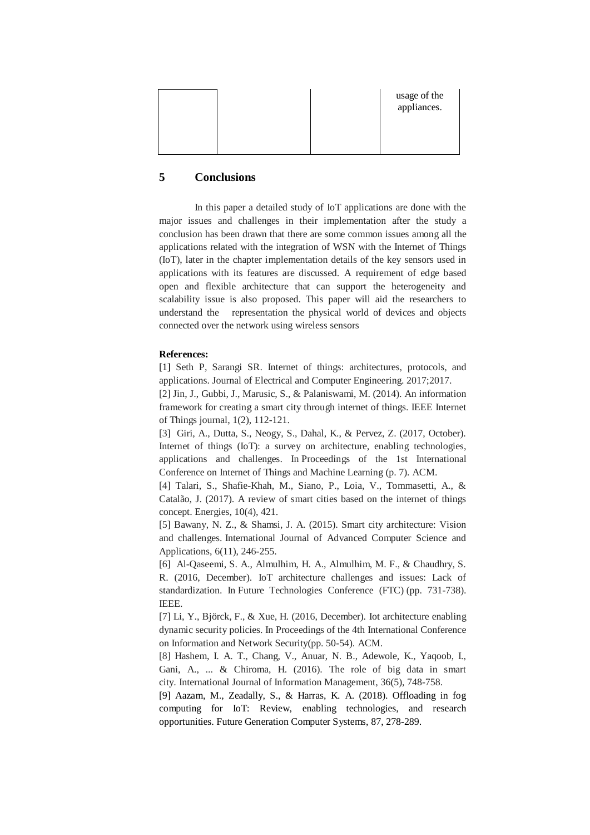|  |  | usage of the<br>appliances. |
|--|--|-----------------------------|
|  |  |                             |

## **5 Conclusions**

In this paper a detailed study of IoT applications are done with the major issues and challenges in their implementation after the study a conclusion has been drawn that there are some common issues among all the applications related with the integration of WSN with the Internet of Things (IoT), later in the chapter implementation details of the key sensors used in applications with its features are discussed. A requirement of edge based open and flexible architecture that can support the heterogeneity and scalability issue is also proposed. This paper will aid the researchers to understand the representation the physical world of devices and objects connected over the network using wireless sensors

#### **References:**

[1] Seth P, Sarangi SR. Internet of things: architectures, protocols, and applications. Journal of Electrical and Computer Engineering. 2017;2017.

[2] Jin, J., Gubbi, J., Marusic, S., & Palaniswami, M. (2014). An information framework for creating a smart city through internet of things. IEEE Internet of Things journal, 1(2), 112-121.

[3] Giri, A., Dutta, S., Neogy, S., Dahal, K., & Pervez, Z. (2017, October). Internet of things (IoT): a survey on architecture, enabling technologies, applications and challenges. In Proceedings of the 1st International Conference on Internet of Things and Machine Learning (p. 7). ACM.

[4] Talari, S., Shafie-Khah, M., Siano, P., Loia, V., Tommasetti, A., & Catalão, J. (2017). A review of smart cities based on the internet of things concept. Energies, 10(4), 421.

[5] Bawany, N. Z., & Shamsi, J. A. (2015). Smart city architecture: Vision and challenges. International Journal of Advanced Computer Science and Applications, 6(11), 246-255.

[6] Al-Qaseemi, S. A., Almulhim, H. A., Almulhim, M. F., & Chaudhry, S. R. (2016, December). IoT architecture challenges and issues: Lack of standardization. In Future Technologies Conference (FTC) (pp. 731-738). IEEE.

[7] Li, Y., Björck, F., & Xue, H. (2016, December). Iot architecture enabling dynamic security policies. In Proceedings of the 4th International Conference on Information and Network Security(pp. 50-54). ACM.

[8] Hashem, I. A. T., Chang, V., Anuar, N. B., Adewole, K., Yaqoob, I., Gani, A., ... & Chiroma, H. (2016). The role of big data in smart city. International Journal of Information Management, 36(5), 748-758.

[9] Aazam, M., Zeadally, S., & Harras, K. A. (2018). Offloading in fog computing for IoT: Review, enabling technologies, and research opportunities. Future Generation Computer Systems, 87, 278-289.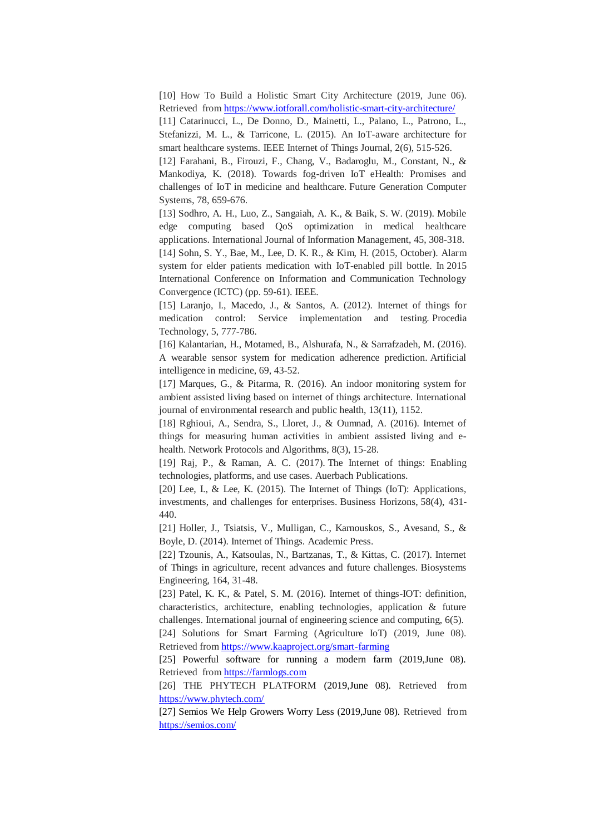[10] How To Build a Holistic Smart City Architecture (2019, June 06). Retrieved from<https://www.iotforall.com/holistic-smart-city-architecture/>

[11] Catarinucci, L., De Donno, D., Mainetti, L., Palano, L., Patrono, L., Stefanizzi, M. L., & Tarricone, L. (2015). An IoT-aware architecture for smart healthcare systems. IEEE Internet of Things Journal, 2(6), 515-526.

[12] Farahani, B., Firouzi, F., Chang, V., Badaroglu, M., Constant, N., & Mankodiya, K. (2018). Towards fog-driven IoT eHealth: Promises and challenges of IoT in medicine and healthcare. Future Generation Computer Systems, 78, 659-676.

[13] Sodhro, A. H., Luo, Z., Sangaiah, A. K., & Baik, S. W. (2019). Mobile edge computing based QoS optimization in medical healthcare applications. International Journal of Information Management, 45, 308-318. [14] Sohn, S. Y., Bae, M., Lee, D. K. R., & Kim, H. (2015, October). Alarm system for elder patients medication with IoT-enabled pill bottle. In 2015 International Conference on Information and Communication Technology Convergence (ICTC) (pp. 59-61). IEEE.

[15] Laranjo, I., Macedo, J., & Santos, A. (2012). Internet of things for medication control: Service implementation and testing. Procedia Technology, 5, 777-786.

[16] Kalantarian, H., Motamed, B., Alshurafa, N., & Sarrafzadeh, M. (2016). A wearable sensor system for medication adherence prediction. Artificial intelligence in medicine, 69, 43-52.

[17] Marques, G., & Pitarma, R. (2016). An indoor monitoring system for ambient assisted living based on internet of things architecture. International journal of environmental research and public health, 13(11), 1152.

[18] Rghioui, A., Sendra, S., Lloret, J., & Oumnad, A. (2016). Internet of things for measuring human activities in ambient assisted living and ehealth. Network Protocols and Algorithms, 8(3), 15-28.

[19] Raj, P., & Raman, A. C. (2017). The Internet of things: Enabling technologies, platforms, and use cases. Auerbach Publications.

[20] Lee, I., & Lee, K. (2015). The Internet of Things (IoT): Applications, investments, and challenges for enterprises. Business Horizons, 58(4), 431- 440.

[21] Holler, J., Tsiatsis, V., Mulligan, C., Karnouskos, S., Avesand, S., & Boyle, D. (2014). Internet of Things. Academic Press.

[22] Tzounis, A., Katsoulas, N., Bartzanas, T., & Kittas, C. (2017). Internet of Things in agriculture, recent advances and future challenges. Biosystems Engineering, 164, 31-48.

[23] Patel, K. K., & Patel, S. M. (2016). Internet of things-IOT: definition, characteristics, architecture, enabling technologies, application & future challenges. International journal of engineering science and computing, 6(5).

[24] Solutions for Smart Farming (Agriculture IoT) (2019, June 08). Retrieved from<https://www.kaaproject.org/smart-farming>

[25] Powerful software for running a modern farm (2019, June 08). Retrieved from [https://farmlogs.com](https://farmlogs.com/)

[26] THE PHYTECH PLATFORM (2019,June 08). Retrieved from <https://www.phytech.com/>

[27] Semios We Help Growers Worry Less (2019,June 08). Retrieved from <https://semios.com/>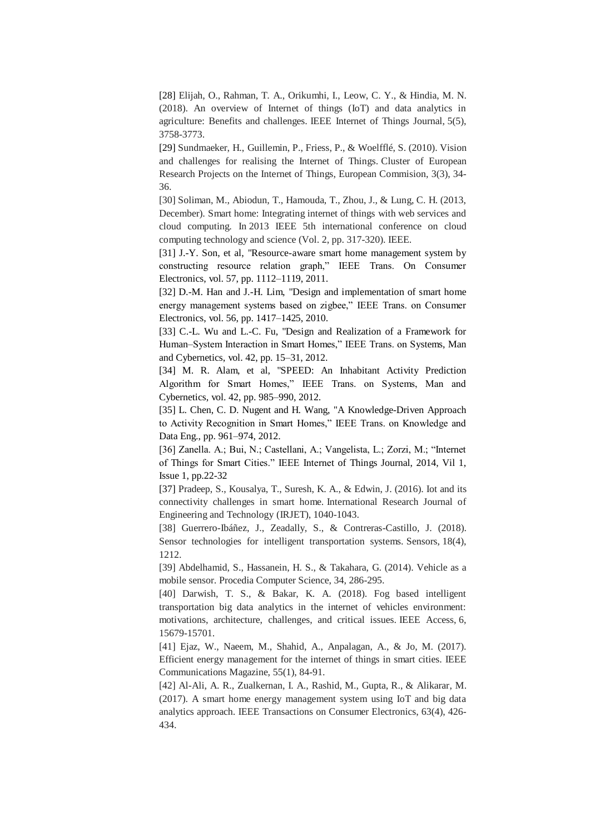[28] Elijah, O., Rahman, T. A., Orikumhi, I., Leow, C. Y., & Hindia, M. N. (2018). An overview of Internet of things (IoT) and data analytics in agriculture: Benefits and challenges. IEEE Internet of Things Journal, 5(5), 3758-3773.

[29] Sundmaeker, H., Guillemin, P., Friess, P., & Woelfflé, S. (2010). Vision and challenges for realising the Internet of Things. Cluster of European Research Projects on the Internet of Things, European Commision, 3(3), 34- 36.

[30] Soliman, M., Abiodun, T., Hamouda, T., Zhou, J., & Lung, C. H. (2013, December). Smart home: Integrating internet of things with web services and cloud computing. In 2013 IEEE 5th international conference on cloud computing technology and science (Vol. 2, pp. 317-320). IEEE.

[31] J.-Y. Son, et al, "Resource-aware smart home management system by constructing resource relation graph," IEEE Trans. On Consumer Electronics, vol. 57, pp. 1112–1119, 2011.

[32] D.-M. Han and J.-H. Lim, "Design and implementation of smart home energy management systems based on zigbee," IEEE Trans. on Consumer Electronics, vol. 56, pp. 1417–1425, 2010.

[33] C.-L. Wu and L.-C. Fu, "Design and Realization of a Framework for Human–System Interaction in Smart Homes," IEEE Trans. on Systems, Man and Cybernetics, vol. 42, pp. 15–31, 2012.

[34] M. R. Alam, et al, "SPEED: An Inhabitant Activity Prediction Algorithm for Smart Homes," IEEE Trans. on Systems, Man and Cybernetics, vol. 42, pp. 985–990, 2012.

[35] L. Chen, C. D. Nugent and H. Wang, "A Knowledge-Driven Approach to Activity Recognition in Smart Homes," IEEE Trans. on Knowledge and Data Eng., pp. 961–974, 2012.

[36] Zanella. A.; Bui, N.; Castellani, A.; Vangelista, L.; Zorzi, M.; "Internet of Things for Smart Cities." IEEE Internet of Things Journal, 2014, Vil 1, Issue 1, pp.22-32

[37] Pradeep, S., Kousalya, T., Suresh, K. A., & Edwin, J. (2016). Iot and its connectivity challenges in smart home. International Research Journal of Engineering and Technology (IRJET), 1040-1043.

[38] Guerrero-Ibáñez, J., Zeadally, S., & Contreras-Castillo, J. (2018). Sensor technologies for intelligent transportation systems. Sensors, 18(4), 1212.

[39] Abdelhamid, S., Hassanein, H. S., & Takahara, G. (2014). Vehicle as a mobile sensor. Procedia Computer Science, 34, 286-295.

[40] Darwish, T. S., & Bakar, K. A. (2018). Fog based intelligent transportation big data analytics in the internet of vehicles environment: motivations, architecture, challenges, and critical issues. IEEE Access, 6, 15679-15701.

[41] Ejaz, W., Naeem, M., Shahid, A., Anpalagan, A., & Jo, M. (2017). Efficient energy management for the internet of things in smart cities. IEEE Communications Magazine, 55(1), 84-91.

[42] Al-Ali, A. R., Zualkernan, I. A., Rashid, M., Gupta, R., & Alikarar, M. (2017). A smart home energy management system using IoT and big data analytics approach. IEEE Transactions on Consumer Electronics, 63(4), 426- 434.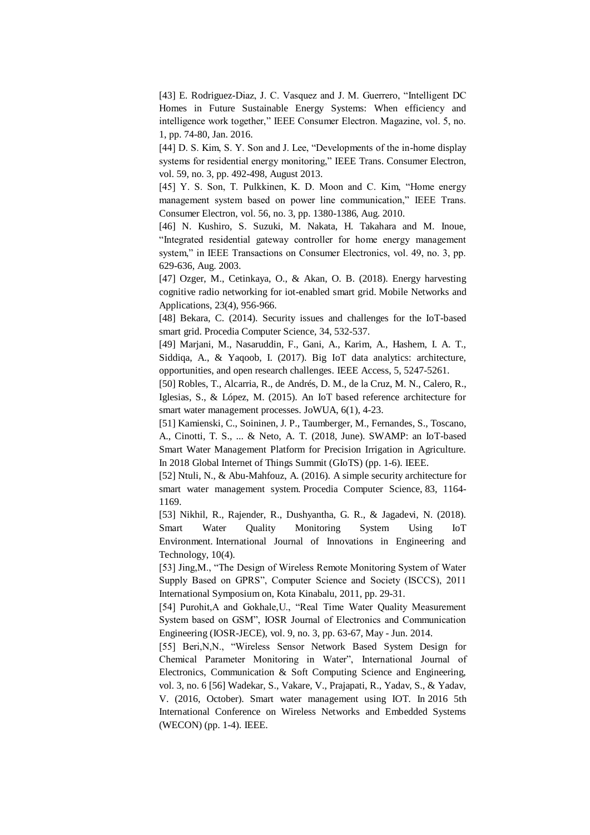[43] E. Rodriguez-Diaz, J. C. Vasquez and J. M. Guerrero, "Intelligent DC Homes in Future Sustainable Energy Systems: When efficiency and intelligence work together," IEEE Consumer Electron. Magazine, vol. 5, no. 1, pp. 74-80, Jan. 2016.

[44] D. S. Kim, S. Y. Son and J. Lee, "Developments of the in-home display systems for residential energy monitoring," IEEE Trans. Consumer Electron, vol. 59, no. 3, pp. 492-498, August 2013.

[45] Y. S. Son, T. Pulkkinen, K. D. Moon and C. Kim, "Home energy management system based on power line communication," IEEE Trans. Consumer Electron, vol. 56, no. 3, pp. 1380-1386, Aug. 2010.

[46] N. Kushiro, S. Suzuki, M. Nakata, H. Takahara and M. Inoue, "Integrated residential gateway controller for home energy management system," in IEEE Transactions on Consumer Electronics, vol. 49, no. 3, pp. 629-636, Aug. 2003.

[47] Ozger, M., Cetinkaya, O., & Akan, O. B. (2018). Energy harvesting cognitive radio networking for iot-enabled smart grid. Mobile Networks and Applications, 23(4), 956-966.

[48] Bekara, C. (2014). Security issues and challenges for the IoT-based smart grid. Procedia Computer Science, 34, 532-537.

[49] Marjani, M., Nasaruddin, F., Gani, A., Karim, A., Hashem, I. A. T., Siddiqa, A., & Yaqoob, I. (2017). Big IoT data analytics: architecture, opportunities, and open research challenges. IEEE Access, 5, 5247-5261.

[50] Robles, T., Alcarria, R., de Andrés, D. M., de la Cruz, M. N., Calero, R., Iglesias, S., & López, M. (2015). An IoT based reference architecture for smart water management processes. JoWUA, 6(1), 4-23.

[51] Kamienski, C., Soininen, J. P., Taumberger, M., Fernandes, S., Toscano, A., Cinotti, T. S., ... & Neto, A. T. (2018, June). SWAMP: an IoT-based Smart Water Management Platform for Precision Irrigation in Agriculture. In 2018 Global Internet of Things Summit (GIoTS) (pp. 1-6). IEEE.

[52] Ntuli, N., & Abu-Mahfouz, A. (2016). A simple security architecture for smart water management system. Procedia Computer Science, 83, 1164- 1169.

[53] Nikhil, R., Rajender, R., Dushyantha, G. R., & Jagadevi, N. (2018). Smart Water Quality Monitoring System Using IoT Environment. International Journal of Innovations in Engineering and Technology, 10(4).

[53] Jing,M., "The Design of Wireless Remote Monitoring System of Water Supply Based on GPRS", Computer Science and Society (ISCCS), 2011 International Symposium on, Kota Kinabalu, 2011, pp. 29-31.

[54] Purohit,A and Gokhale,U., "Real Time Water Quality Measurement System based on GSM", IOSR Journal of Electronics and Communication Engineering (IOSR-JECE), vol. 9, no. 3, pp. 63-67, May - Jun. 2014.

[55] Beri,N,N., "Wireless Sensor Network Based System Design for Chemical Parameter Monitoring in Water", International Journal of Electronics, Communication & Soft Computing Science and Engineering, vol. 3, no. 6 [56] Wadekar, S., Vakare, V., Prajapati, R., Yadav, S., & Yadav, V. (2016, October). Smart water management using IOT. In 2016 5th International Conference on Wireless Networks and Embedded Systems (WECON) (pp. 1-4). IEEE.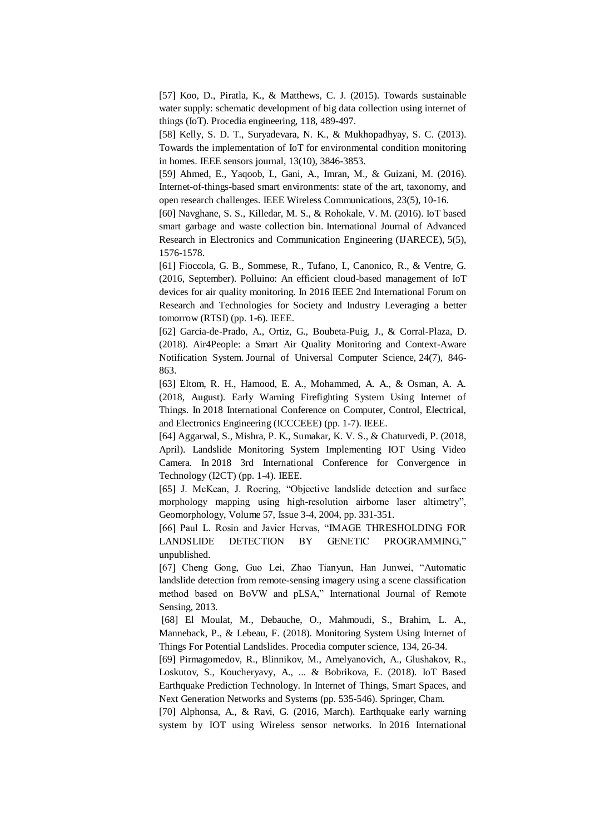[57] Koo, D., Piratla, K., & Matthews, C. J. (2015). Towards sustainable water supply: schematic development of big data collection using internet of things (IoT). Procedia engineering, 118, 489-497.

[58] Kelly, S. D. T., Suryadevara, N. K., & Mukhopadhyay, S. C. (2013). Towards the implementation of IoT for environmental condition monitoring in homes. IEEE sensors journal, 13(10), 3846-3853.

[59] Ahmed, E., Yaqoob, I., Gani, A., Imran, M., & Guizani, M. (2016). Internet-of-things-based smart environments: state of the art, taxonomy, and open research challenges. IEEE Wireless Communications, 23(5), 10-16.

[60] Navghane, S. S., Killedar, M. S., & Rohokale, V. M. (2016). IoT based smart garbage and waste collection bin. International Journal of Advanced Research in Electronics and Communication Engineering (IJARECE), 5(5), 1576-1578.

[61] Fioccola, G. B., Sommese, R., Tufano, I., Canonico, R., & Ventre, G. (2016, September). Polluino: An efficient cloud-based management of IoT devices for air quality monitoring. In 2016 IEEE 2nd International Forum on Research and Technologies for Society and Industry Leveraging a better tomorrow (RTSI) (pp. 1-6). IEEE.

[62] Garcia-de-Prado, A., Ortiz, G., Boubeta-Puig, J., & Corral-Plaza, D. (2018). Air4People: a Smart Air Quality Monitoring and Context-Aware Notification System. Journal of Universal Computer Science, 24(7), 846- 863.

[63] Eltom, R. H., Hamood, E. A., Mohammed, A. A., & Osman, A. A. (2018, August). Early Warning Firefighting System Using Internet of Things. In 2018 International Conference on Computer, Control, Electrical, and Electronics Engineering (ICCCEEE) (pp. 1-7). IEEE.

[64] Aggarwal, S., Mishra, P. K., Sumakar, K. V. S., & Chaturvedi, P. (2018, April). Landslide Monitoring System Implementing IOT Using Video Camera. In 2018 3rd International Conference for Convergence in Technology (I2CT) (pp. 1-4). IEEE.

[65] J. McKean, J. Roering, "Objective landslide detection and surface morphology mapping using high-resolution airborne laser altimetry", Geomorphology, Volume 57, Issue 3-4, 2004, pp. 331-351.

[66] Paul L. Rosin and Javier Hervas, "IMAGE THRESHOLDING FOR LANDSLIDE DETECTION BY GENETIC PROGRAMMING," unpublished.

[67] Cheng Gong, Guo Lei, Zhao Tianyun, Han Junwei, "Automatic landslide detection from remote-sensing imagery using a scene classification method based on BoVW and pLSA," International Journal of Remote Sensing, 2013.

[68] El Moulat, M., Debauche, O., Mahmoudi, S., Brahim, L. A., Manneback, P., & Lebeau, F. (2018). Monitoring System Using Internet of Things For Potential Landslides. Procedia computer science, 134, 26-34.

[69] Pirmagomedov, R., Blinnikov, M., Amelyanovich, A., Glushakov, R., Loskutov, S., Koucheryavy, A., ... & Bobrikova, E. (2018). IoT Based Earthquake Prediction Technology. In Internet of Things, Smart Spaces, and Next Generation Networks and Systems (pp. 535-546). Springer, Cham.

[70] Alphonsa, A., & Ravi, G. (2016, March). Earthquake early warning system by IOT using Wireless sensor networks. In 2016 International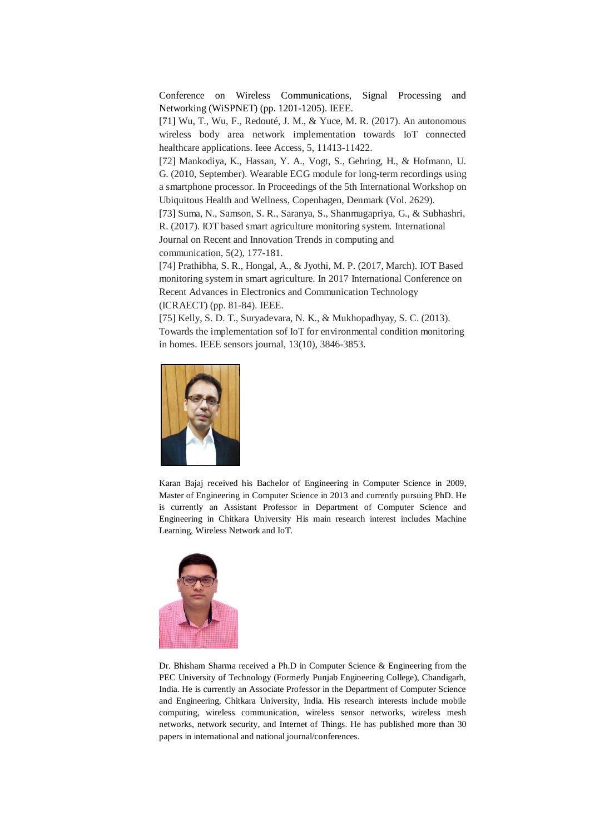Conference on Wireless Communications, Signal Processing and Networking (WiSPNET) (pp. 1201-1205). IEEE.

[71] Wu, T., Wu, F., Redouté, J. M., & Yuce, M. R. (2017). An autonomous wireless body area network implementation towards IoT connected healthcare applications. Ieee Access, 5, 11413-11422.

[72] Mankodiya, K., Hassan, Y. A., Vogt, S., Gehring, H., & Hofmann, U. G. (2010, September). Wearable ECG module for long-term recordings using a smartphone processor. In Proceedings of the 5th International Workshop on Ubiquitous Health and Wellness, Copenhagen, Denmark (Vol. 2629).

[73] Suma, N., Samson, S. R., Saranya, S., Shanmugapriya, G., & Subhashri, R. (2017). IOT based smart agriculture monitoring system. International Journal on Recent and Innovation Trends in computing and communication, 5(2), 177-181.

[74] Prathibha, S. R., Hongal, A., & Jyothi, M. P. (2017, March). IOT Based monitoring system in smart agriculture. In 2017 International Conference on Recent Advances in Electronics and Communication Technology (ICRAECT) (pp. 81-84). IEEE.

[75] Kelly, S. D. T., Suryadevara, N. K., & Mukhopadhyay, S. C. (2013). Towards the implementation sof IoT for environmental condition monitoring in homes. IEEE sensors journal, 13(10), 3846-3853.



Karan Bajaj received his Bachelor of Engineering in Computer Science in 2009, Master of Engineering in Computer Science in 2013 and currently pursuing PhD. He is currently an Assistant Professor in Department of Computer Science and Engineering in Chitkara University His main research interest includes Machine Learning, Wireless Network and IoT.



Dr. Bhisham Sharma received a Ph.D in Computer Science & Engineering from the PEC University of Technology (Formerly Punjab Engineering College), Chandigarh, India. He is currently an Associate Professor in the Department of Computer Science and Engineering, Chitkara University, India. His research interests include mobile computing, wireless communication, wireless sensor networks, wireless mesh networks, network security, and Internet of Things. He has published more than 30 papers in international and national journal/conferences.